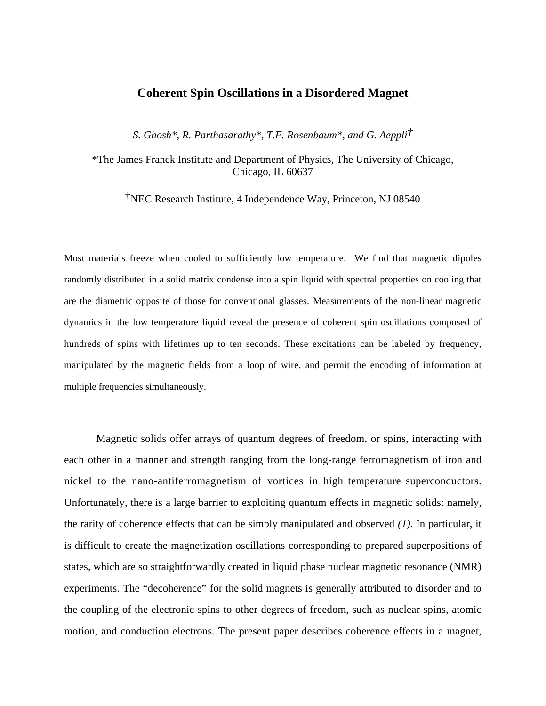## **Coherent Spin Oscillations in a Disordered Magnet**

*S. Ghosh\*, R. Parthasarathy\*, T.F. Rosenbaum\*, and G. Aeppli†*

\*The James Franck Institute and Department of Physics, The University of Chicago, Chicago, IL 60637

†NEC Research Institute, 4 Independence Way, Princeton, NJ 08540

Most materials freeze when cooled to sufficiently low temperature. We find that magnetic dipoles randomly distributed in a solid matrix condense into a spin liquid with spectral properties on cooling that are the diametric opposite of those for conventional glasses. Measurements of the non-linear magnetic dynamics in the low temperature liquid reveal the presence of coherent spin oscillations composed of hundreds of spins with lifetimes up to ten seconds. These excitations can be labeled by frequency, manipulated by the magnetic fields from a loop of wire, and permit the encoding of information at multiple frequencies simultaneously.

Magnetic solids offer arrays of quantum degrees of freedom, or spins, interacting with each other in a manner and strength ranging from the long-range ferromagnetism of iron and nickel to the nano-antiferromagnetism of vortices in high temperature superconductors. Unfortunately, there is a large barrier to exploiting quantum effects in magnetic solids: namely, the rarity of coherence effects that can be simply manipulated and observed *(1).* In particular, it is difficult to create the magnetization oscillations corresponding to prepared superpositions of states, which are so straightforwardly created in liquid phase nuclear magnetic resonance (NMR) experiments. The "decoherence" for the solid magnets is generally attributed to disorder and to the coupling of the electronic spins to other degrees of freedom, such as nuclear spins, atomic motion, and conduction electrons. The present paper describes coherence effects in a magnet,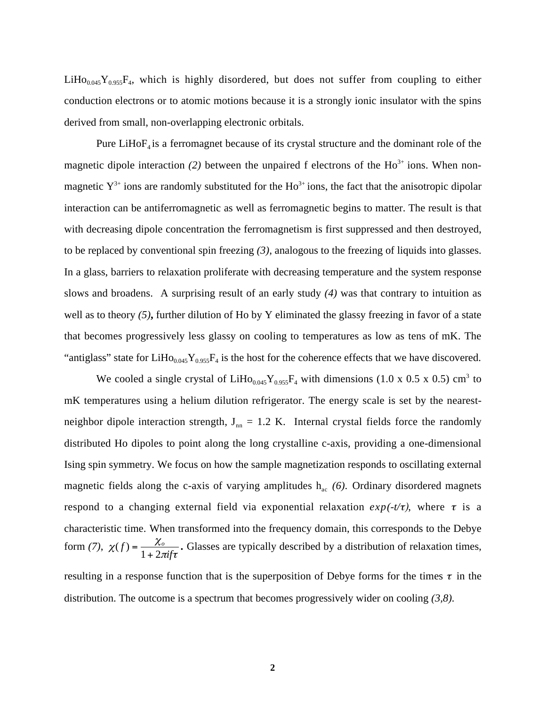$LiHo<sub>0.045</sub>Y<sub>0.955</sub>F<sub>4</sub>$ , which is highly disordered, but does not suffer from coupling to either conduction electrons or to atomic motions because it is a strongly ionic insulator with the spins derived from small, non-overlapping electronic orbitals.

Pure LiHo $F_4$  is a ferromagnet because of its crystal structure and the dominant role of the magnetic dipole interaction (2) between the unpaired f electrons of the  $Ho^{3+}$  ions. When nonmagnetic  $Y^{3+}$  ions are randomly substituted for the Ho<sup>3+</sup> ions, the fact that the anisotropic dipolar interaction can be antiferromagnetic as well as ferromagnetic begins to matter. The result is that with decreasing dipole concentration the ferromagnetism is first suppressed and then destroyed, to be replaced by conventional spin freezing *(3)*, analogous to the freezing of liquids into glasses. In a glass, barriers to relaxation proliferate with decreasing temperature and the system response slows and broadens. A surprising result of an early study *(4)* was that contrary to intuition as well as to theory *(5)***,** further dilution of Ho by Y eliminated the glassy freezing in favor of a state that becomes progressively less glassy on cooling to temperatures as low as tens of mK. The "antiglass" state for  $LiHo<sub>0.045</sub>Y<sub>0.955</sub>F<sub>4</sub>$  is the host for the coherence effects that we have discovered.

We cooled a single crystal of LiHo<sub>0.045</sub>Y<sub>0.955</sub>F<sub>4</sub> with dimensions (1.0 x 0.5 x 0.5) cm<sup>3</sup> to mK temperatures using a helium dilution refrigerator. The energy scale is set by the nearestneighbor dipole interaction strength,  $J_{nn} = 1.2$  K. Internal crystal fields force the randomly distributed Ho dipoles to point along the long crystalline c-axis, providing a one-dimensional Ising spin symmetry. We focus on how the sample magnetization responds to oscillating external magnetic fields along the c-axis of varying amplitudes  $h_{ac}$  (6). Ordinary disordered magnets respond to a changing external field via exponential relaxation  $exp(-t/\tau)$ , where  $\tau$  is a characteristic time. When transformed into the frequency domain, this corresponds to the Debye form (7),  $\chi(f) = \frac{\chi_o}{1 + 2\pi i f \tau}$ . Glasses are typically described by a distribution of relaxation times, resulting in a response function that is the superposition of Debye forms for the times  $\tau$  in the

distribution. The outcome is a spectrum that becomes progressively wider on cooling *(3,8).*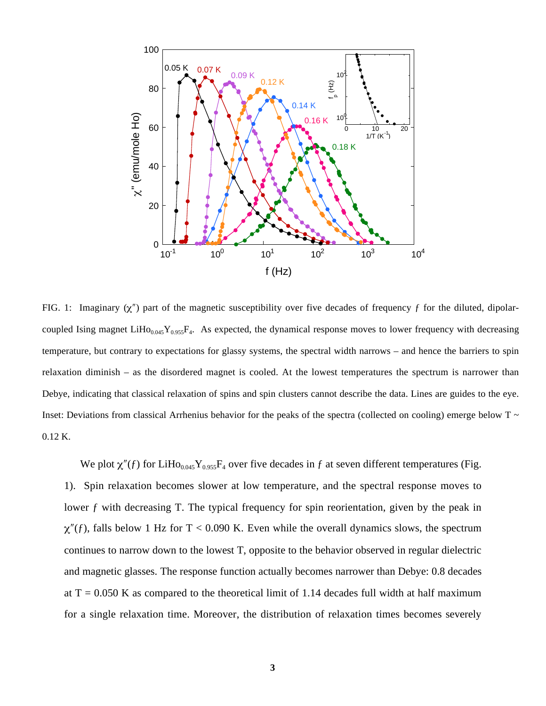

FIG. 1: Imaginary  $(\chi'')$  part of the magnetic susceptibility over five decades of frequency f for the diluted, dipolarcoupled Ising magnet LiHo<sub>0.045</sub>Y<sub>0.955</sub>F<sub>4</sub>. As expected, the dynamical response moves to lower frequency with decreasing temperature, but contrary to expectations for glassy systems, the spectral width narrows – and hence the barriers to spin relaxation diminish – as the disordered magnet is cooled. At the lowest temperatures the spectrum is narrower than Debye, indicating that classical relaxation of spins and spin clusters cannot describe the data. Lines are guides to the eye. Inset: Deviations from classical Arrhenius behavior for the peaks of the spectra (collected on cooling) emerge below  $T \sim$ 0.12 K.

We plot  $\chi''(f)$  for LiHo<sub>0.045</sub>Y<sub>0.955</sub>F<sub>4</sub> over five decades in f at seven different temperatures (Fig. 1). Spin relaxation becomes slower at low temperature, and the spectral response moves to lower f with decreasing T. The typical frequency for spin reorientation, given by the peak in  $\chi''(f)$ , falls below 1 Hz for T < 0.090 K. Even while the overall dynamics slows, the spectrum continues to narrow down to the lowest T, opposite to the behavior observed in regular dielectric and magnetic glasses. The response function actually becomes narrower than Debye: 0.8 decades at  $T = 0.050$  K as compared to the theoretical limit of 1.14 decades full width at half maximum for a single relaxation time. Moreover, the distribution of relaxation times becomes severely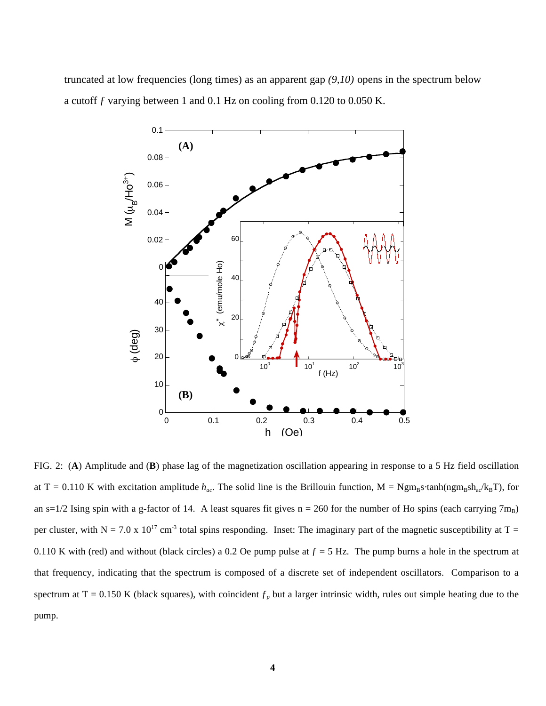truncated at low frequencies (long times) as an apparent gap *(9,10)* opens in the spectrum below a cutoff ƒ varying between 1 and 0.1 Hz on cooling from 0.120 to 0.050 K.



FIG. 2: (**A**) Amplitude and (**B**) phase lag of the magnetization oscillation appearing in response to a 5 Hz field oscillation at T = 0.110 K with excitation amplitude  $h_{ac}$ . The solid line is the Brillouin function, M = Ngm<sub>B</sub>s·tanh(ngm<sub>B</sub>sh<sub>ac</sub>/k<sub>B</sub>T), for an s=1/2 Ising spin with a g-factor of 14. A least squares fit gives  $n = 260$  for the number of Ho spins (each carrying 7m<sub>B</sub>) per cluster, with N = 7.0 x 10<sup>17</sup> cm<sup>-3</sup> total spins responding. Inset: The imaginary part of the magnetic susceptibility at T = 0.110 K with (red) and without (black circles) a 0.2 Oe pump pulse at  $f = 5$  Hz. The pump burns a hole in the spectrum at that frequency, indicating that the spectrum is composed of a discrete set of independent oscillators. Comparison to a spectrum at T = 0.150 K (black squares), with coincident  $f_p$  but a larger intrinsic width, rules out simple heating due to the pump.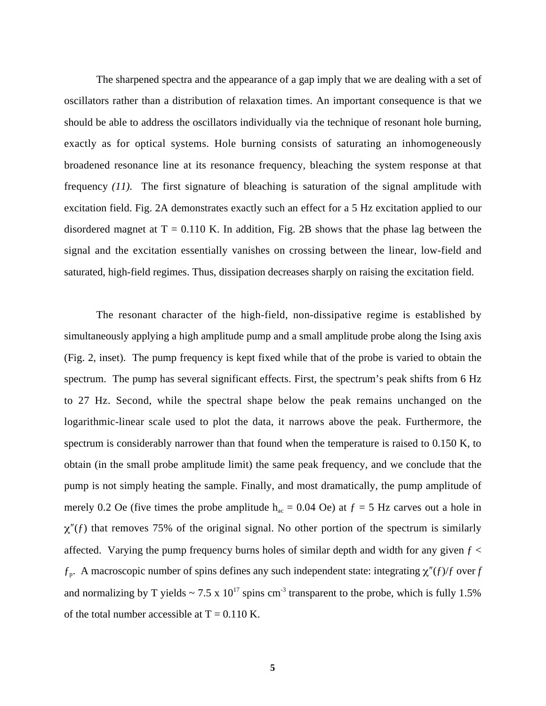The sharpened spectra and the appearance of a gap imply that we are dealing with a set of oscillators rather than a distribution of relaxation times. An important consequence is that we should be able to address the oscillators individually via the technique of resonant hole burning, exactly as for optical systems. Hole burning consists of saturating an inhomogeneously broadened resonance line at its resonance frequency, bleaching the system response at that frequency *(11).* The first signature of bleaching is saturation of the signal amplitude with excitation field. Fig. 2A demonstrates exactly such an effect for a 5 Hz excitation applied to our disordered magnet at  $T = 0.110$  K. In addition, Fig. 2B shows that the phase lag between the signal and the excitation essentially vanishes on crossing between the linear, low-field and saturated, high-field regimes. Thus, dissipation decreases sharply on raising the excitation field.

The resonant character of the high-field, non-dissipative regime is established by simultaneously applying a high amplitude pump and a small amplitude probe along the Ising axis (Fig. 2, inset). The pump frequency is kept fixed while that of the probe is varied to obtain the spectrum. The pump has several significant effects. First, the spectrum's peak shifts from 6 Hz to 27 Hz. Second, while the spectral shape below the peak remains unchanged on the logarithmic-linear scale used to plot the data, it narrows above the peak. Furthermore, the spectrum is considerably narrower than that found when the temperature is raised to 0.150 K, to obtain (in the small probe amplitude limit) the same peak frequency, and we conclude that the pump is not simply heating the sample. Finally, and most dramatically, the pump amplitude of merely 0.2 Oe (five times the probe amplitude  $h_{ac} = 0.04$  Oe) at  $f = 5$  Hz carves out a hole in  $\chi''(f)$  that removes 75% of the original signal. No other portion of the spectrum is similarly affected. Varying the pump frequency burns holes of similar depth and width for any given  $f <$  $f_p$ . A macroscopic number of spins defines any such independent state: integrating  $\chi''(f)/f$  over *f* and normalizing by T yields  $\sim 7.5 \times 10^{17}$  spins cm<sup>-3</sup> transparent to the probe, which is fully 1.5% of the total number accessible at  $T = 0.110$  K.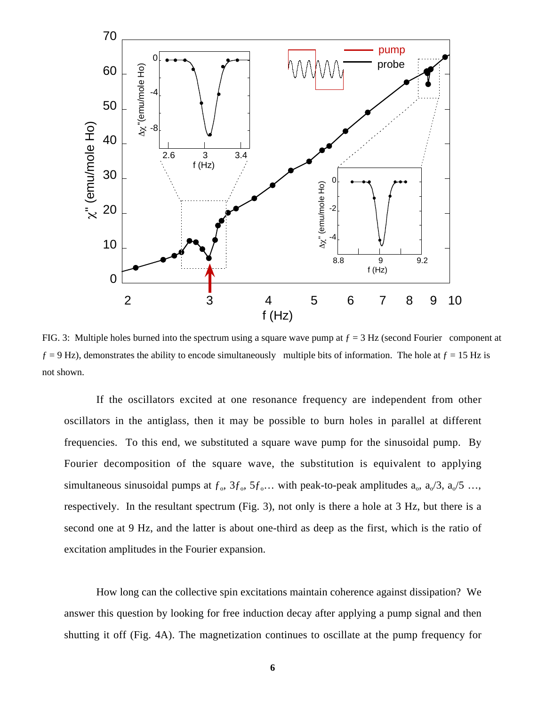

FIG. 3: Multiple holes burned into the spectrum using a square wave pump at  $f = 3$  Hz (second Fourier component at  $f = 9$  Hz), demonstrates the ability to encode simultaneously multiple bits of information. The hole at  $f = 15$  Hz is not shown.

If the oscillators excited at one resonance frequency are independent from other oscillators in the antiglass, then it may be possible to burn holes in parallel at different frequencies. To this end, we substituted a square wave pump for the sinusoidal pump. By Fourier decomposition of the square wave, the substitution is equivalent to applying simultaneous sinusoidal pumps at  $f_0$ ,  $3f_0$ ,  $5f_0$ ... with peak-to-peak amplitudes  $a_0$ ,  $a_0/3$ ,  $a_0/5$  ..., respectively. In the resultant spectrum (Fig. 3), not only is there a hole at 3 Hz, but there is a second one at 9 Hz, and the latter is about one-third as deep as the first, which is the ratio of excitation amplitudes in the Fourier expansion.

How long can the collective spin excitations maintain coherence against dissipation? We answer this question by looking for free induction decay after applying a pump signal and then shutting it off (Fig. 4A). The magnetization continues to oscillate at the pump frequency for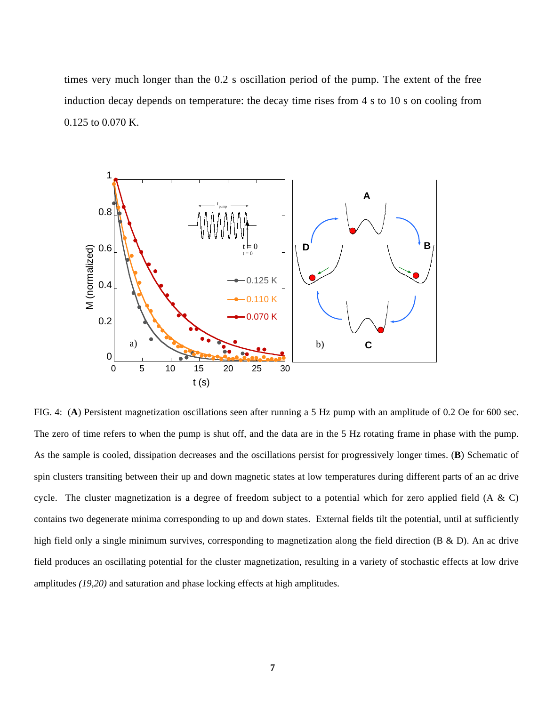times very much longer than the 0.2 s oscillation period of the pump. The extent of the free induction decay depends on temperature: the decay time rises from 4 s to 10 s on cooling from 0.125 to 0.070 K.



FIG. 4: (**A**) Persistent magnetization oscillations seen after running a 5 Hz pump with an amplitude of 0.2 Oe for 600 sec. The zero of time refers to when the pump is shut off, and the data are in the 5 Hz rotating frame in phase with the pump. As the sample is cooled, dissipation decreases and the oscillations persist for progressively longer times. (**B**) Schematic of spin clusters transiting between their up and down magnetic states at low temperatures during different parts of an ac drive cycle. The cluster magnetization is a degree of freedom subject to a potential which for zero applied field (A & C) contains two degenerate minima corresponding to up and down states. External fields tilt the potential, until at sufficiently high field only a single minimum survives, corresponding to magnetization along the field direction (B & D). An ac drive field produces an oscillating potential for the cluster magnetization, resulting in a variety of stochastic effects at low drive amplitudes *(19,20)* and saturation and phase locking effects at high amplitudes.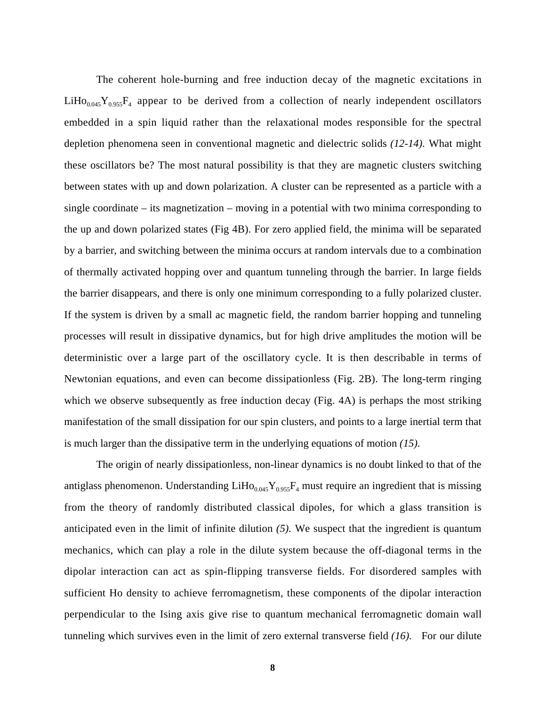The coherent hole-burning and free induction decay of the magnetic excitations in  $LiHo<sub>0.045</sub>Y<sub>0.955</sub>F<sub>4</sub>$  appear to be derived from a collection of nearly independent oscillators embedded in a spin liquid rather than the relaxational modes responsible for the spectral depletion phenomena seen in conventional magnetic and dielectric solids *(12-14).* What might these oscillators be? The most natural possibility is that they are magnetic clusters switching between states with up and down polarization. A cluster can be represented as a particle with a single coordinate – its magnetization – moving in a potential with two minima corresponding to the up and down polarized states (Fig 4B). For zero applied field, the minima will be separated by a barrier, and switching between the minima occurs at random intervals due to a combination of thermally activated hopping over and quantum tunneling through the barrier. In large fields the barrier disappears, and there is only one minimum corresponding to a fully polarized cluster. If the system is driven by a small ac magnetic field, the random barrier hopping and tunneling processes will result in dissipative dynamics, but for high drive amplitudes the motion will be deterministic over a large part of the oscillatory cycle. It is then describable in terms of Newtonian equations, and even can become dissipationless (Fig. 2B). The long-term ringing which we observe subsequently as free induction decay (Fig. 4A) is perhaps the most striking manifestation of the small dissipation for our spin clusters, and points to a large inertial term that is much larger than the dissipative term in the underlying equations of motion *(15).*

The origin of nearly dissipationless, non-linear dynamics is no doubt linked to that of the antiglass phenomenon. Understanding  $LiHo<sub>0.045</sub>Y<sub>0.955</sub>F<sub>4</sub>$  must require an ingredient that is missing from the theory of randomly distributed classical dipoles, for which a glass transition is anticipated even in the limit of infinite dilution *(5).* We suspect that the ingredient is quantum mechanics, which can play a role in the dilute system because the off-diagonal terms in the dipolar interaction can act as spin-flipping transverse fields. For disordered samples with sufficient Ho density to achieve ferromagnetism, these components of the dipolar interaction perpendicular to the Ising axis give rise to quantum mechanical ferromagnetic domain wall tunneling which survives even in the limit of zero external transverse field *(16).* For our dilute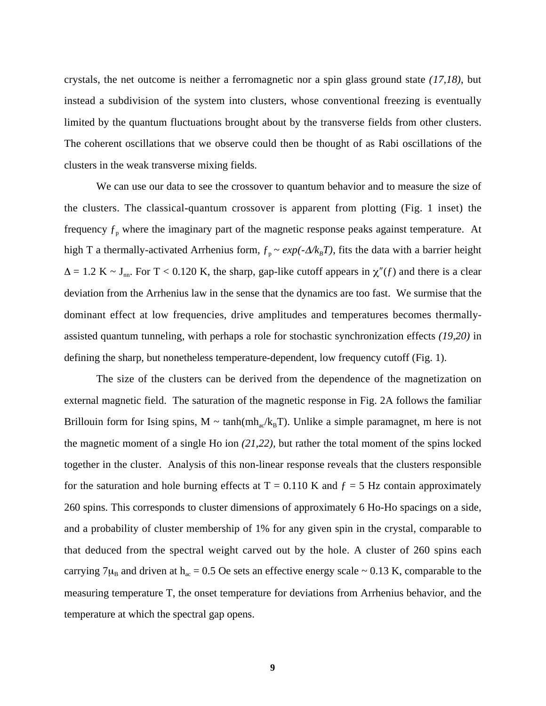crystals, the net outcome is neither a ferromagnetic nor a spin glass ground state *(17,18)*, but instead a subdivision of the system into clusters, whose conventional freezing is eventually limited by the quantum fluctuations brought about by the transverse fields from other clusters. The coherent oscillations that we observe could then be thought of as Rabi oscillations of the clusters in the weak transverse mixing fields.

We can use our data to see the crossover to quantum behavior and to measure the size of the clusters. The classical-quantum crossover is apparent from plotting (Fig. 1 inset) the frequency  $f_p$  where the imaginary part of the magnetic response peaks against temperature. At high T a thermally-activated Arrhenius form,  $f_p \sim exp(-\Delta/k_B T)$ , fits the data with a barrier height  $\Delta = 1.2$  K ~ J<sub>nn</sub>. For T < 0.120 K, the sharp, gap-like cutoff appears in  $\chi''(f)$  and there is a clear deviation from the Arrhenius law in the sense that the dynamics are too fast. We surmise that the dominant effect at low frequencies, drive amplitudes and temperatures becomes thermallyassisted quantum tunneling, with perhaps a role for stochastic synchronization effects *(19,20)* in defining the sharp, but nonetheless temperature-dependent, low frequency cutoff (Fig. 1).

The size of the clusters can be derived from the dependence of the magnetization on external magnetic field. The saturation of the magnetic response in Fig. 2A follows the familiar Brillouin form for Ising spins,  $M \sim \tanh(mh_{av}/k_BT)$ . Unlike a simple paramagnet, m here is not the magnetic moment of a single Ho ion *(21,22),* but rather the total moment of the spins locked together in the cluster. Analysis of this non-linear response reveals that the clusters responsible for the saturation and hole burning effects at  $T = 0.110$  K and  $f = 5$  Hz contain approximately 260 spins. This corresponds to cluster dimensions of approximately 6 Ho-Ho spacings on a side, and a probability of cluster membership of 1% for any given spin in the crystal, comparable to that deduced from the spectral weight carved out by the hole. A cluster of 260 spins each carrying 7 $\mu_B$  and driven at h<sub>ac</sub> = 0.5 Oe sets an effective energy scale ~ 0.13 K, comparable to the measuring temperature T, the onset temperature for deviations from Arrhenius behavior, and the temperature at which the spectral gap opens.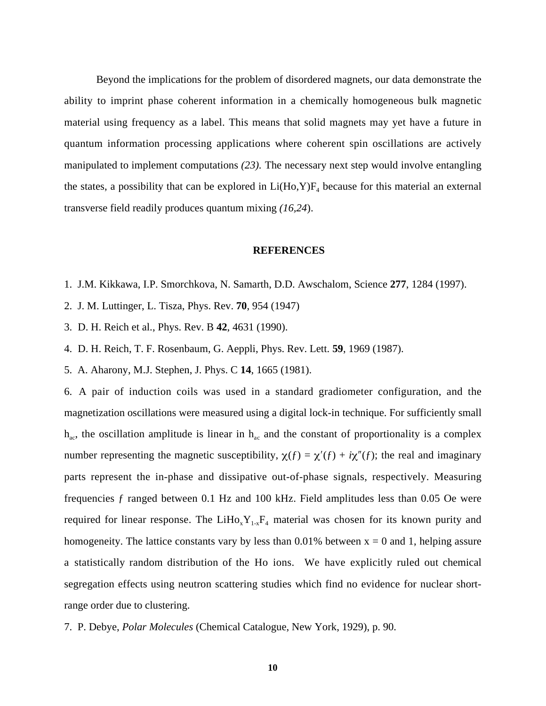Beyond the implications for the problem of disordered magnets, our data demonstrate the ability to imprint phase coherent information in a chemically homogeneous bulk magnetic material using frequency as a label. This means that solid magnets may yet have a future in quantum information processing applications where coherent spin oscillations are actively manipulated to implement computations *(23).* The necessary next step would involve entangling the states, a possibility that can be explored in  $Li(Ho, Y)F<sub>4</sub>$  because for this material an external transverse field readily produces quantum mixing *(16,24*).

## **REFERENCES**

- 1. J.M. Kikkawa, I.P. Smorchkova, N. Samarth, D.D. Awschalom, Science **277**, 1284 (1997).
- 2. J. M. Luttinger, L. Tisza, Phys. Rev. **70**, 954 (1947)
- 3. D. H. Reich et al., Phys. Rev. B **42**, 4631 (1990).
- 4. D. H. Reich, T. F. Rosenbaum, G. Aeppli, Phys. Rev. Lett. **59**, 1969 (1987).
- 5. A. Aharony, M.J. Stephen, J. Phys. C **14**, 1665 (1981).

6. A pair of induction coils was used in a standard gradiometer configuration, and the magnetization oscillations were measured using a digital lock-in technique. For sufficiently small  $h_{ac}$ , the oscillation amplitude is linear in  $h_{ac}$  and the constant of proportionality is a complex number representing the magnetic susceptibility,  $\chi(f) = \chi'(f) + i\chi''(f)$ ; the real and imaginary parts represent the in-phase and dissipative out-of-phase signals, respectively. Measuring frequencies ƒ ranged between 0.1 Hz and 100 kHz. Field amplitudes less than 0.05 Oe were required for linear response. The LiHo<sub>x</sub>Y<sub>1-x</sub>F<sub>4</sub> material was chosen for its known purity and homogeneity. The lattice constants vary by less than  $0.01\%$  between  $x = 0$  and 1, helping assure a statistically random distribution of the Ho ions. We have explicitly ruled out chemical segregation effects using neutron scattering studies which find no evidence for nuclear shortrange order due to clustering.

7. P. Debye, *Polar Molecules* (Chemical Catalogue, New York, 1929), p. 90.